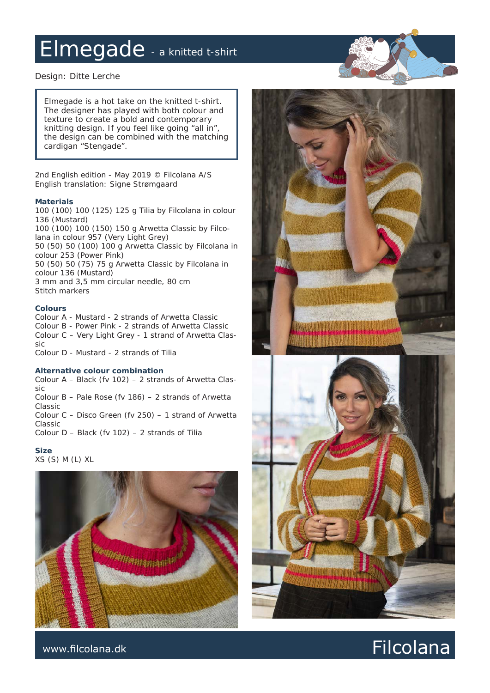### Elmegade - a knitted t-shirt

*Design: Ditte Lerche*

*Elmegade is a hot take on the knitted t-shirt. The designer has played with both colour and texture to create a bold and contemporary knitting design. If you feel like going "all in", the design can be combined with the matching cardigan "Stengade".*

*2nd English edition - May 2019 © Filcolana A/S English translation: Signe Strømgaard*

#### **Materials**

100 (100) 100 (125) 125 g Tilia by Filcolana in colour 136 (Mustard) 100 (100) 100 (150) 150 g Arwetta Classic by Filcolana in colour 957 (Very Light Grey) 50 (50) 50 (100) 100 g Arwetta Classic by Filcolana in colour 253 (Power Pink) 50 (50) 50 (75) 75 g Arwetta Classic by Filcolana in colour 136 (Mustard) 3 mm and 3,5 mm circular needle, 80 cm Stitch markers

### **Colours**

Colour A - Mustard - 2 strands of Arwetta Classic Colour B - Power Pink - 2 strands of Arwetta Classic Colour C – Very Light Grey - 1 strand of Arwetta Classic

Colour D - Mustard - 2 strands of Tilia

#### **Alternative colour combination**

Colour A – Black (fv 102) – 2 strands of Arwetta Classic Colour B – Pale Rose (fv 186) – 2 strands of Arwetta Classic

Colour C – Disco Green (fv 250) – 1 strand of Arwetta Classic

Colour D – Black (fv 102) – 2 strands of Tilia

**Size**

XS (S) M (L) XL



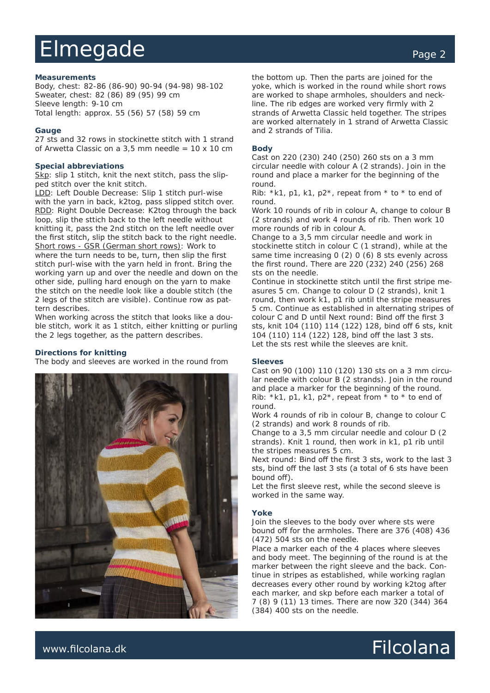## Elmegade extending the page 2

#### **Measurements**

Body, chest: 82-86 (86-90) 90-94 (94-98) 98-102 Sweater, chest: 82 (86) 89 (95) 99 cm Sleeve length: 9-10 cm Total length: approx. 55 (56) 57 (58) 59 cm

#### **Gauge**

27 sts and 32 rows in stockinette stitch with 1 strand of Arwetta Classic on a  $3.5$  mm needle =  $10 \times 10$  cm

#### **Special abbreviations**

Skp: slip 1 stitch, knit the next stitch, pass the slipped stitch over the knit stitch.

LDD: Left Double Decrease: Slip 1 stitch purl-wise with the yarn in back, k2tog, pass slipped stitch over. RDD: Right Double Decrease: K2tog through the back loop, slip the sttich back to the left needle without knitting it, pass the 2nd stitch on the left needle over the first stitch, slip the stitch back to the right needle. Short rows - GSR (German short rows): Work to where the turn needs to be, turn, then slip the first stitch purl-wise with the yarn held in front. Bring the working yarn up and over the needle and down on the other side, pulling hard enough on the yarn to make the stitch on the needle look like a double stitch (the 2 legs of the stitch are visible). Continue row as pattern describes.

When working across the stitch that looks like a double stitch, work it as 1 stitch, either knitting or purling the 2 legs together, as the pattern describes.

#### **Directions for knitting**

The body and sleeves are worked in the round from



the bottom up. Then the parts are joined for the yoke, which is worked in the round while short rows are worked to shape armholes, shoulders and neckline. The rib edges are worked very firmly with 2 strands of Arwetta Classic held together. The stripes are worked alternately in 1 strand of Arwetta Classic and 2 strands of Tilia.

#### **Body**

Cast on 220 (230) 240 (250) 260 sts on a 3 mm circular needle with colour A (2 strands). Join in the round and place a marker for the beginning of the round.

Rib: \*k1, p1, k1, p2\*, repeat from \* to \* to end of round.

Work 10 rounds of rib in colour A, change to colour B (2 strands) and work 4 rounds of rib. Then work 10 more rounds of rib in colour A.

Change to a 3,5 mm circular needle and work in stockinette stitch in colour C (1 strand), while at the same time increasing 0 (2) 0 (6) 8 sts evenly across the first round. There are 220 (232) 240 (256) 268 sts on the needle.

Continue in stockinette stitch until the first stripe measures 5 cm. Change to colour D (2 strands), knit 1 round, then work k1, p1 rib until the stripe measures 5 cm. Continue as established in alternating stripes of colour C and D until Next round: Bind off the first 3 sts, knit 104 (110) 114 (122) 128, bind off 6 sts, knit 104 (110) 114 (122) 128, bind off the last 3 sts. Let the sts rest while the sleeves are knit.

#### **Sleeves**

Cast on 90 (100) 110 (120) 130 sts on a 3 mm circular needle with colour B (2 strands). Join in the round and place a marker for the beginning of the round. Rib: \*k1, p1, k1, p2\*, repeat from \* to \* to end of round.

Work 4 rounds of rib in colour B, change to colour C (2 strands) and work 8 rounds of rib.

Change to a 3,5 mm circular needle and colour D (2 strands). Knit 1 round, then work in k1, p1 rib until the stripes measures 5 cm.

Next round: Bind off the first 3 sts, work to the last 3 sts, bind off the last 3 sts (a total of 6 sts have been bound off).

Let the first sleeve rest, while the second sleeve is worked in the same way.

#### **Yoke**

Join the sleeves to the body over where sts were bound off for the armholes. There are 376 (408) 436 (472) 504 sts on the needle.

Place a marker each of the 4 places where sleeves and body meet. The beginning of the round is at the marker between the right sleeve and the back. Continue in stripes as established, while working raglan decreases every other round by working k2tog after each marker, and skp before each marker a total of 7 (8) 9 (11) 13 times. There are now 320 (344) 364 (384) 400 sts on the needle.

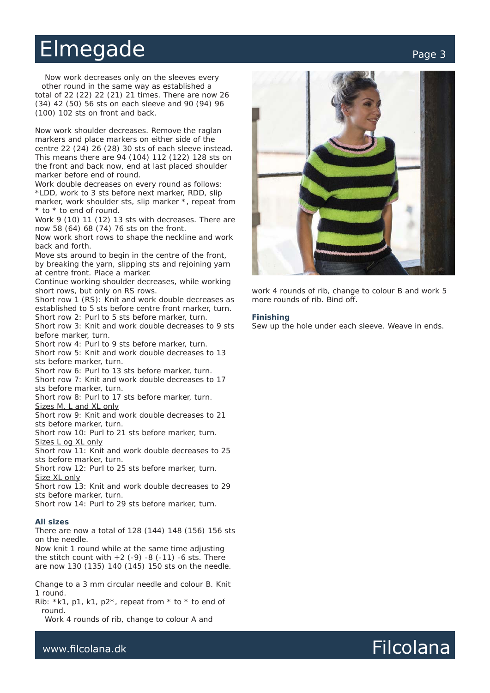### Elmegade extending the page 3

Now work decreases only on the sleeves every other round in the same way as established a total of 22 (22) 22 (21) 21 times. There are now 26 (34) 42 (50) 56 sts on each sleeve and 90 (94) 96 (100) 102 sts on front and back.

Now work shoulder decreases. Remove the raglan markers and place markers on either side of the centre 22 (24) 26 (28) 30 sts of each sleeve instead. This means there are 94 (104) 112 (122) 128 sts on the front and back now, end at last placed shoulder marker before end of round.

Work double decreases on every round as follows: \*LDD, work to 3 sts before next marker, RDD, slip marker, work shoulder sts, slip marker \*, repeat from \* to \* to end of round.

Work 9 (10) 11 (12) 13 sts with decreases. There are now 58 (64) 68 (74) 76 sts on the front.

Now work short rows to shape the neckline and work back and forth.

Move sts around to begin in the centre of the front, by breaking the yarn, slipping sts and rejoining yarn at centre front. Place a marker.

Continue working shoulder decreases, while working short rows, but only on RS rows.

Short row 1 (RS): Knit and work double decreases as established to 5 sts before centre front marker, turn. Short row 2: Purl to 5 sts before marker, turn.

Short row 3: Knit and work double decreases to 9 sts before marker, turn.

Short row 4: Purl to 9 sts before marker, turn.

Short row 5: Knit and work double decreases to 13 sts before marker, turn.

Short row 6: Purl to 13 sts before marker, turn.

Short row 7: Knit and work double decreases to 17 sts before marker, turn.

Short row 8: Purl to 17 sts before marker, turn. Sizes M, L and XL only

Short row 9: Knit and work double decreases to 21 sts before marker, turn.

Short row 10: Purl to 21 sts before marker, turn.

Sizes L og XL only

Short row 11: Knit and work double decreases to 25 sts before marker, turn.

Short row 12: Purl to 25 sts before marker, turn. Size XL only

Short row 13: Knit and work double decreases to 29 sts before marker, turn.

Short row 14: Purl to 29 sts before marker, turn.

#### **All sizes**

There are now a total of 128 (144) 148 (156) 156 sts on the needle.

Now knit 1 round while at the same time adjusting the stitch count with  $+2$  (-9) -8 (-11) -6 sts. There are now 130 (135) 140 (145) 150 sts on the needle.

Change to a 3 mm circular needle and colour B. Knit 1 round.

Rib:  $*k1$ , p1, k1, p2 $*$ , repeat from  $*$  to  $*$  to end of round.

Work 4 rounds of rib, change to colour A and



work 4 rounds of rib, change to colour B and work 5 more rounds of rib. Bind off.

#### **Finishing**

Sew up the hole under each sleeve. Weave in ends.